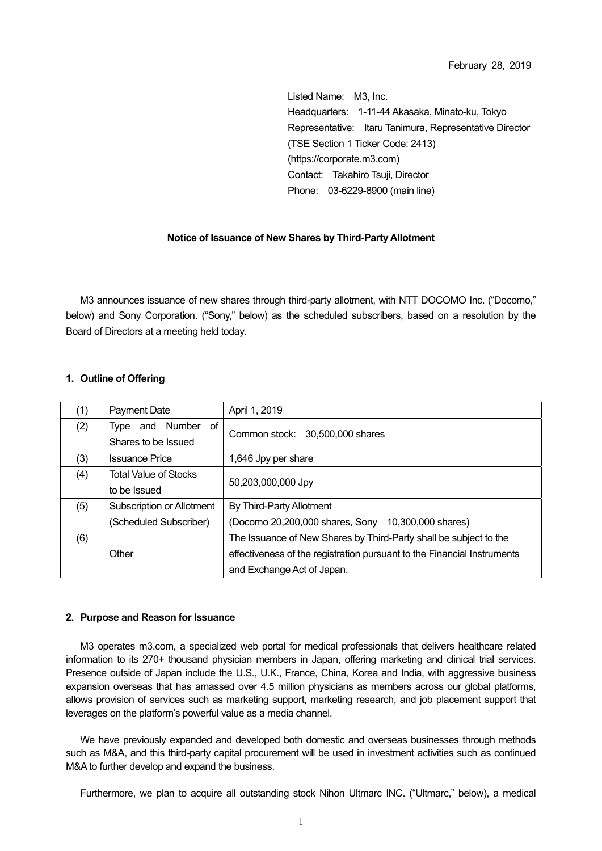Listed Name: M3, Inc. Headquarters: 1-11-44 Akasaka, Minato-ku, Tokyo Representative: Itaru Tanimura, Representative Director (TSE Section 1 Ticker Code: 2413) (https://corporate.m3.com) Contact: Takahiro Tsuii, Director Phone: 03-6229-8900 (main line)

### **Notice of Issuance of New Shares by Third-Party Allotment**

M3 announces issuance of new shares through third-party allotment, with NTT DOCOMO Inc. ("Docomo," below) and Sony Corporation. ("Sony," below) as the scheduled subscribers, based on a resolution by the Board of Directors at a meeting held today.

### **1. Outline of Offering**

| (1) | Payment Date                                    | April 1, 2019                                                           |  |
|-----|-------------------------------------------------|-------------------------------------------------------------------------|--|
| (2) | and Number<br>of<br>Tvpe<br>Shares to be Issued | Common stock: 30,500,000 shares                                         |  |
| (3) | <b>Issuance Price</b>                           | 1,646 Jpy per share                                                     |  |
| (4) | <b>Total Value of Stocks</b>                    | 50,203,000,000 Jpy                                                      |  |
|     | to be Issued                                    |                                                                         |  |
| (5) | Subscription or Allotment                       | By Third-Party Allotment                                                |  |
|     | (Scheduled Subscriber)                          | (Docomo 20,200,000 shares, Sony 10,300,000 shares)                      |  |
| (6) |                                                 | The Issuance of New Shares by Third-Party shall be subject to the       |  |
|     | Other                                           | effectiveness of the registration pursuant to the Financial Instruments |  |
|     |                                                 | and Exchange Act of Japan.                                              |  |

### **2. Purpose and Reason for Issuance**

M3 operates m3.com, a specialized web portal for medical professionals that delivers healthcare related information to its 270+ thousand physician members in Japan, offering marketing and clinical trial services. Presence outside of Japan include the U.S., U.K., France, China, Korea and India, with aggressive business expansion overseas that has amassed over 4.5 million physicians as members across our global platforms, allows provision of services such as marketing support, marketing research, and job placement support that leverages on the platform's powerful value as a media channel.

We have previously expanded and developed both domestic and overseas businesses through methods such as M&A, and this third-party capital procurement will be used in investment activities such as continued M&A to further develop and expand the business.

Furthermore, we plan to acquire all outstanding stock Nihon Ultmarc INC. ("Ultmarc," below), a medical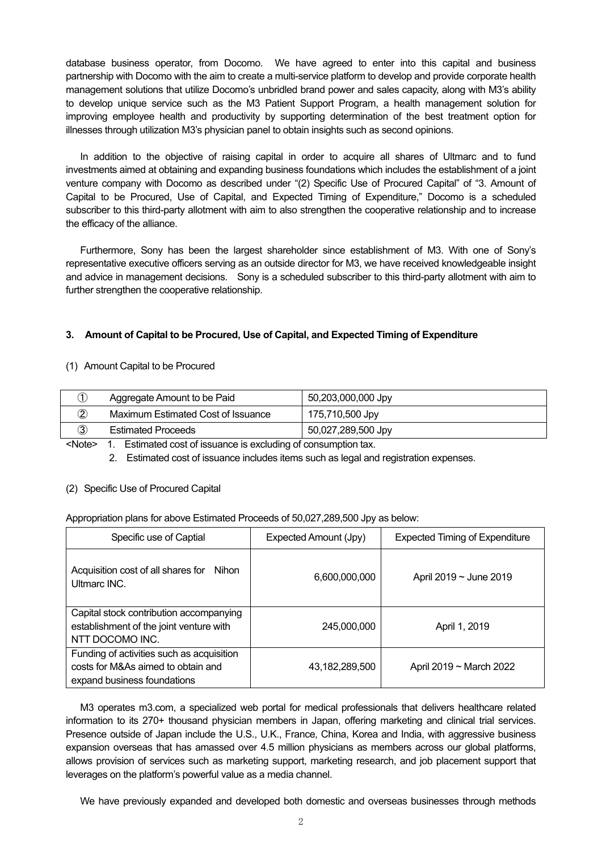database business operator, from Docomo. We have agreed to enter into this capital and business partnership with Docomo with the aim to create a multi-service platform to develop and provide corporate health management solutions that utilize Docomo's unbridled brand power and sales capacity, along with M3's ability to develop unique service such as the M3 Patient Support Program, a health management solution for improving employee health and productivity by supporting determination of the best treatment option for illnesses through utilization M3's physician panel to obtain insights such as second opinions.

In addition to the objective of raising capital in order to acquire all shares of Ultmarc and to fund investments aimed at obtaining and expanding business foundations which includes the establishment of a joint venture company with Docomo as described under "(2) Specific Use of Procured Capital" of "3. Amount of Capital to be Procured, Use of Capital, and Expected Timing of Expenditure," Docomo is a scheduled subscriber to this third-party allotment with aim to also strengthen the cooperative relationship and to increase the efficacy of the alliance.

Furthermore, Sony has been the largest shareholder since establishment of M3. With one of Sony's representative executive officers serving as an outside director for M3, we have received knowledgeable insight and advice in management decisions. Sony is a scheduled subscriber to this third-party allotment with aim to further strengthen the cooperative relationship.

# **3. Amount of Capital to be Procured, Use of Capital, and Expected Timing of Expenditure**

# (1) Amount Capital to be Procured

| D                       | Aggregate Amount to be Paid        | 50,203,000,000 Jpy |
|-------------------------|------------------------------------|--------------------|
| $\widehat{\mathcal{Z}}$ | Maximum Estimated Cost of Issuance | 175,710,500 Jpy    |
| ③                       | <b>Estimated Proceeds</b>          | 50,027,289,500 Jpy |

<Note> 1. Estimated cost of issuance is excluding of consumption tax.

2. Estimated cost of issuance includes items such as legal and registration expenses.

# (2) Specific Use of Procured Capital

# Appropriation plans for above Estimated Proceeds of 50,027,289,500 Jpy as below:

| Specific use of Captial                                                                                        | Expected Amount (Jpy) | <b>Expected Timing of Expenditure</b> |
|----------------------------------------------------------------------------------------------------------------|-----------------------|---------------------------------------|
| Acquisition cost of all shares for Nihon<br>Ultmarc INC.                                                       | 6,600,000,000         | April 2019 $\sim$ June 2019           |
| Capital stock contribution accompanying<br>establishment of the joint venture with<br>NTT DOCOMO INC.          | 245,000,000           | April 1, 2019                         |
| Funding of activities such as acquisition<br>costs for M&As aimed to obtain and<br>expand business foundations | 43,182,289,500        | April 2019 ~ March 2022               |

M3 operates m3.com, a specialized web portal for medical professionals that delivers healthcare related information to its 270+ thousand physician members in Japan, offering marketing and clinical trial services. Presence outside of Japan include the U.S., U.K., France, China, Korea and India, with aggressive business expansion overseas that has amassed over 4.5 million physicians as members across our global platforms, allows provision of services such as marketing support, marketing research, and job placement support that leverages on the platform's powerful value as a media channel.

We have previously expanded and developed both domestic and overseas businesses through methods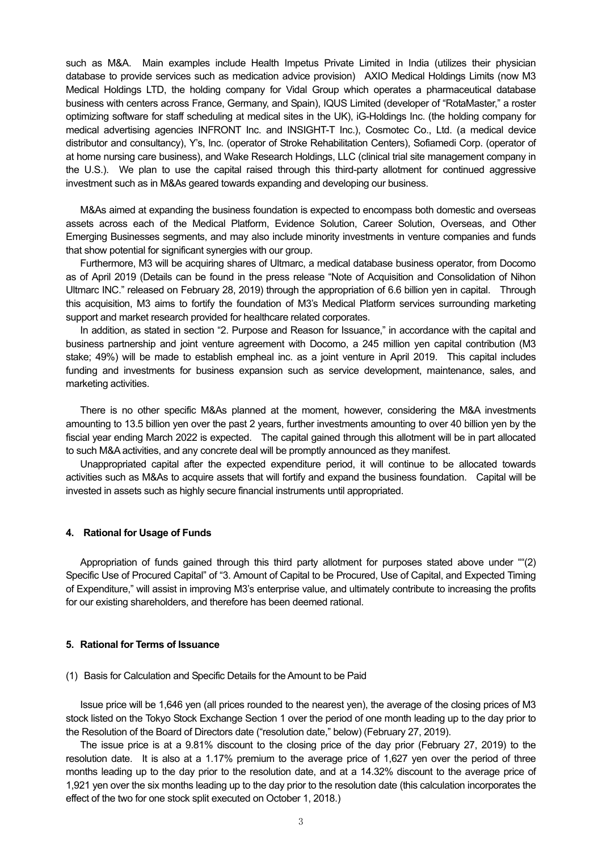such as M&A. Main examples include Health Impetus Private Limited in India (utilizes their physician database to provide services such as medication advice provision) AXIO Medical Holdings Limits (now M3 Medical Holdings LTD, the holding company for Vidal Group which operates a pharmaceutical database business with centers across France, Germany, and Spain), IQUS Limited (developer of "RotaMaster," a roster optimizing software for staff scheduling at medical sites in the UK), iG-Holdings Inc. (the holding company for medical advertising agencies INFRONT Inc. and INSIGHT-T Inc.), Cosmotec Co., Ltd. (a medical device distributor and consultancy), Y's, Inc. (operator of Stroke Rehabilitation Centers), Sofiamedi Corp. (operator of at home nursing care business), and Wake Research Holdings, LLC (clinical trial site management company in the U.S.). We plan to use the capital raised through this third-party allotment for continued aggressive investment such as in M&As geared towards expanding and developing our business.

M&As aimed at expanding the business foundation is expected to encompass both domestic and overseas assets across each of the Medical Platform, Evidence Solution, Career Solution, Overseas, and Other Emerging Businesses segments, and may also include minority investments in venture companies and funds that show potential for significant synergies with our group.

Furthermore, M3 will be acquiring shares of Ultmarc, a medical database business operator, from Docomo as of April 2019 (Details can be found in the press release "Note of Acquisition and Consolidation of Nihon Ultmarc INC." released on February 28, 2019) through the appropriation of 6.6 billion yen in capital. Through this acquisition, M3 aims to fortify the foundation of M3's Medical Platform services surrounding marketing support and market research provided for healthcare related corporates.

In addition, as stated in section "2. Purpose and Reason for Issuance," in accordance with the capital and business partnership and joint venture agreement with Docomo, a 245 million yen capital contribution (M3 stake; 49%) will be made to establish empheal inc. as a joint venture in April 2019. This capital includes funding and investments for business expansion such as service development, maintenance, sales, and marketing activities.

There is no other specific M&As planned at the moment, however, considering the M&A investments amounting to 13.5 billion yen over the past 2 years, further investments amounting to over 40 billion yen by the fiscial year ending March 2022 is expected. The capital gained through this allotment will be in part allocated to such M&A activities, and any concrete deal will be promptly announced as they manifest.

Unappropriated capital after the expected expenditure period, it will continue to be allocated towards activities such as M&As to acquire assets that will fortify and expand the business foundation. Capital will be invested in assets such as highly secure financial instruments until appropriated.

#### **4. Rational for Usage of Funds**

Appropriation of funds gained through this third party allotment for purposes stated above under ""(2) Specific Use of Procured Capital" of "3. Amount of Capital to be Procured, Use of Capital, and Expected Timing of Expenditure," will assist in improving M3's enterprise value, and ultimately contribute to increasing the profits for our existing shareholders, and therefore has been deemed rational.

### **5. Rational for Terms of Issuance**

#### (1) Basis for Calculation and Specific Details for the Amount to be Paid

Issue price will be 1,646 yen (all prices rounded to the nearest yen), the average of the closing prices of M3 stock listed on the Tokyo Stock Exchange Section 1 over the period of one month leading up to the day prior to the Resolution of the Board of Directors date ("resolution date," below) (February 27, 2019).

The issue price is at a 9.81% discount to the closing price of the day prior (February 27, 2019) to the resolution date. It is also at a 1.17% premium to the average price of 1,627 yen over the period of three months leading up to the day prior to the resolution date, and at a 14.32% discount to the average price of 1,921 yen over the six months leading up to the day prior to the resolution date (this calculation incorporates the effect of the two for one stock split executed on October 1, 2018.)